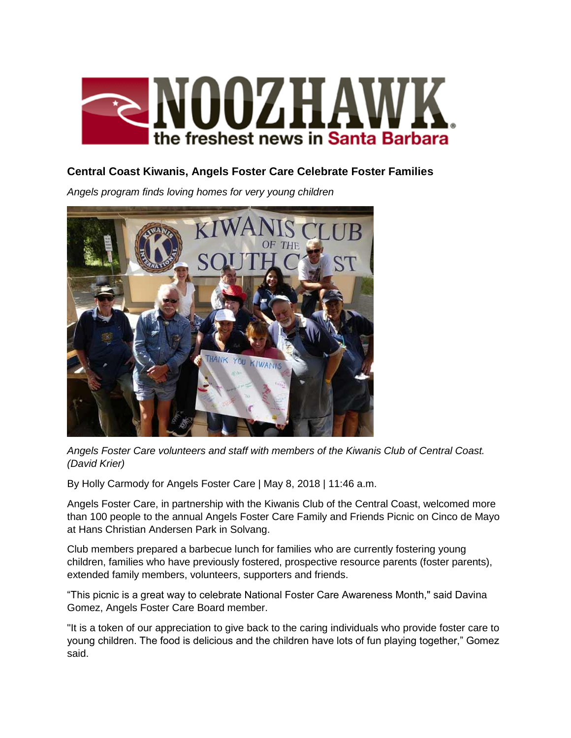

## **Central Coast Kiwanis, Angels Foster Care Celebrate Foster Families**

*Angels program finds loving homes for very young children*



*Angels Foster Care volunteers and staff with members of the Kiwanis Club of Central Coast. (David Krier)*

By Holly Carmody for Angels Foster Care | May 8, 2018 | 11:46 a.m.

Angels Foster Care, in partnership with the Kiwanis Club of the Central Coast, welcomed more than 100 people to the annual Angels Foster Care Family and Friends Picnic on Cinco de Mayo at Hans Christian Andersen Park in Solvang.

Club members prepared a barbecue lunch for families who are currently fostering young children, families who have previously fostered, prospective resource parents (foster parents), extended family members, volunteers, supporters and friends.

"This picnic is a great way to celebrate National Foster Care Awareness Month," said Davina Gomez, Angels Foster Care Board member.

"It is a token of our appreciation to give back to the caring individuals who provide foster care to young children. The food is delicious and the children have lots of fun playing together," Gomez said.